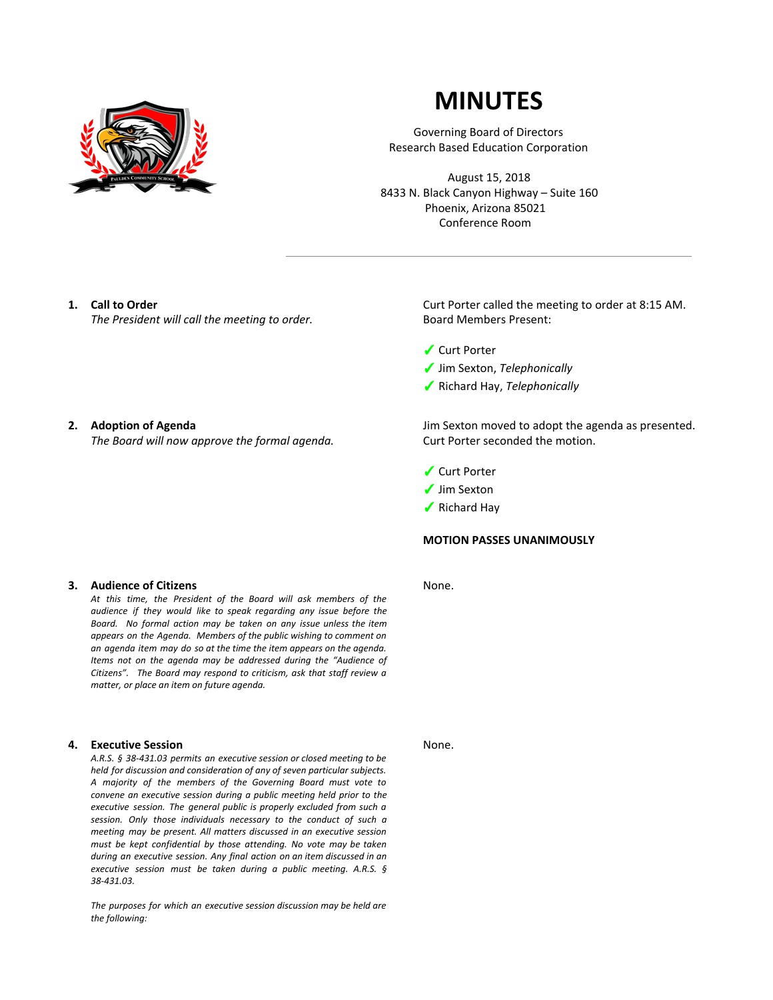

# **MINUTES**

Governing Board of Directors Research Based Education Corporation

August 15, 2018 8433 N. Black Canyon Highway – Suite 160 Phoenix, Arizona 85021 Conference Room

# **1. Call to Order**

*The President will call the meeting to order.*

# **2. Adoption of Agenda**

*The Board will now approve the formal agenda.*

# **3. Audience of Citizens**

*At this time, the President of the Board will ask members of the audience if they would like to speak regarding any issue before the Board. No formal action may be taken on any issue unless the item appears on the Agenda. Members of the public wishing to comment on an agenda item may do so at the time the item appears on the agenda. Items not on the agenda may be addressed during the "Audience of Citizens". The Board may respond to criticism, ask that staff review a matter, or place an item on future agenda.*

#### **4. Executive Session**

*A.R.S. § 38-431.03 permits an executive session or closed meeting to be held for discussion and consideration of any of seven particular subjects. A majority of the members of the Governing Board must vote to convene an executive session during a public meeting held prior to the executive session. The general public is properly excluded from such a session. Only those individuals necessary to the conduct of such a meeting may be present. All matters discussed in an executive session must be kept confidential by those attending. No vote may be taken during an executive session. Any final action on an item discussed in an executive session must be taken during a public meeting. A.R.S. § 38-431.03.*

*The purposes for which an executive session discussion may be held are the following:*

Curt Porter called the meeting to order at 8:15 AM. Board Members Present:

- ✓ Curt Porter
- ✓ Jim Sexton, *Telephonically*
- ✓ Richard Hay, *Telephonically*

Jim Sexton moved to adopt the agenda as presented. Curt Porter seconded the motion.

- ✓ Curt Porter
- ✓ Jim Sexton
- ✓ Richard Hay

# **MOTION PASSES UNANIMOUSLY**

None.

None.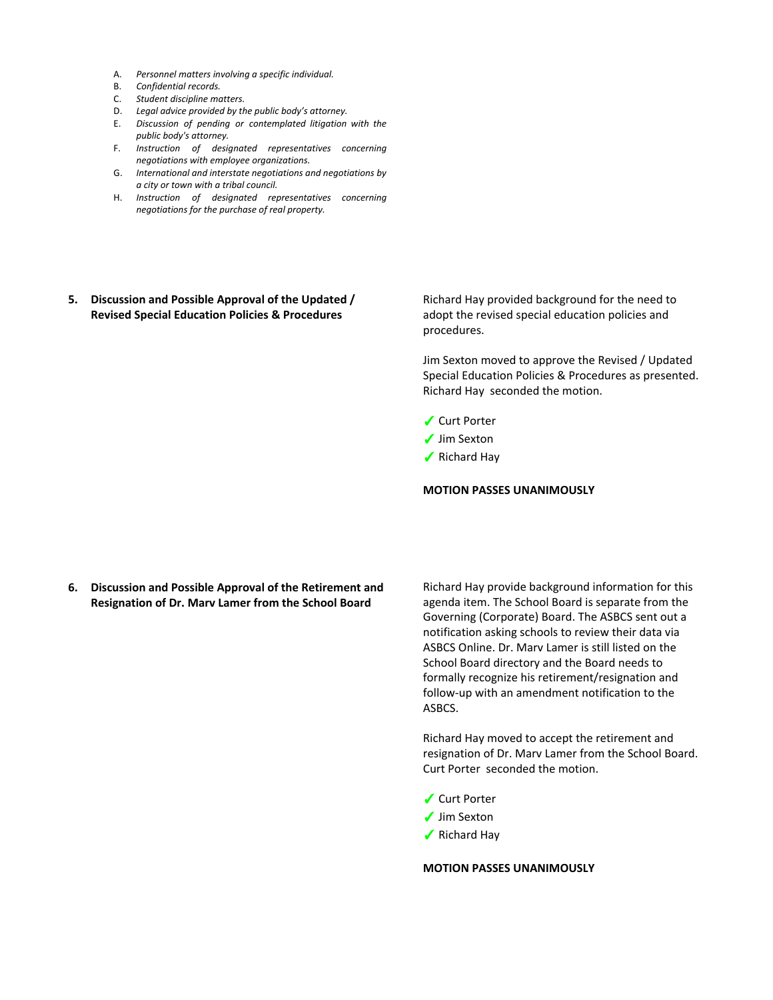- A. *Personnel matters involving a specific individual.*
- B. *Confidential records.*
- C. *Student discipline matters.*
- D. *Legal advice provided by the public body's attorney.*
- E. *Discussion of pending or contemplated litigation with the public body's attorney.*
- F. *Instruction of designated representatives concerning negotiations with employee organizations.*
- G. *International and interstate negotiations and negotiations by a city or town with a tribal council.*
- H. *Instruction of designated representatives concerning negotiations for the purchase of real property.*
- **5. Discussion and Possible Approval of the Updated / Revised Special Education Policies & Procedures**

Richard Hay provided background for the need to adopt the revised special education policies and procedures.

Jim Sexton moved to approve the Revised / Updated Special Education Policies & Procedures as presented. Richard Hay seconded the motion.

- ✓ Curt Porter
- ✓ Jim Sexton
- ✓ Richard Hay

### **MOTION PASSES UNANIMOUSLY**

**6. Discussion and Possible Approval of the Retirement and Resignation of Dr. Marv Lamer from the School Board**

Richard Hay provide background information for this agenda item. The School Board is separate from the Governing (Corporate) Board. The ASBCS sent out a notification asking schools to review their data via ASBCS Online. Dr. Marv Lamer is still listed on the School Board directory and the Board needs to formally recognize his retirement/resignation and follow-up with an amendment notification to the ASBCS.

Richard Hay moved to accept the retirement and resignation of Dr. Marv Lamer from the School Board. Curt Porter seconded the motion.

- ✓ Curt Porter
- ✓ Jim Sexton
- ✓ Richard Hay

# **MOTION PASSES UNANIMOUSLY**